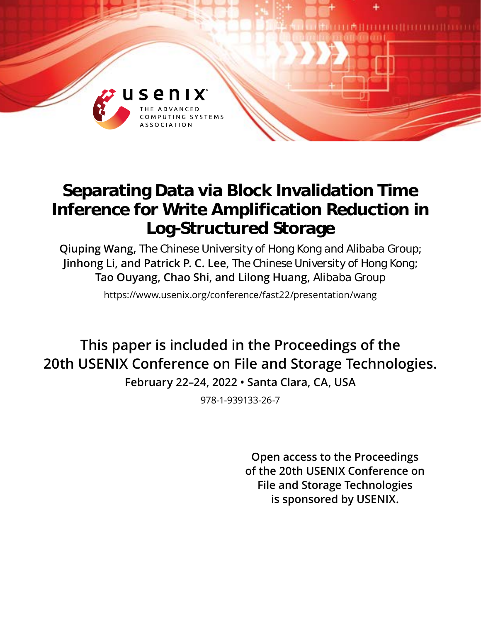

# **Separating Data via Block Invalidation Time Inference for Write Amplification Reduction in Log-Structured Storage**

**Qiuping Wang,** *The Chinese University of Hong Kong and Alibaba Group;* **Jinhong Li, and Patrick P. C. Lee,** *The Chinese University of Hong Kong;* **Tao Ouyang, Chao Shi, and Lilong Huang,** *Alibaba Group*

https://www.usenix.org/conference/fast22/presentation/wang

**This paper is included in the Proceedings of the 20th USENIX Conference on File and Storage Technologies.**

**February 22–24, 2022 • Santa Clara, CA, USA**

978-1-939133-26-7

**Open access to the Proceedings of the 20th USENIX Conference on File and Storage Technologies is sponsored by USENIX.**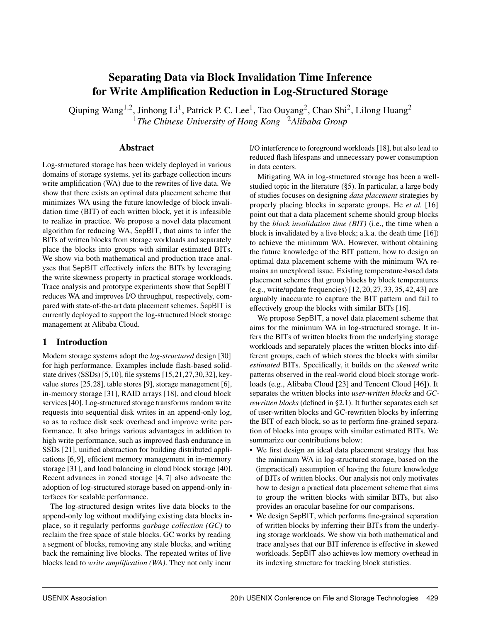# Separating Data via Block Invalidation Time Inference for Write Amplification Reduction in Log-Structured Storage

Qiuping Wang<sup>1,2</sup>, Jinhong Li<sup>1</sup>, Patrick P. C. Lee<sup>1</sup>, Tao Ouyang<sup>2</sup>, Chao Shi<sup>2</sup>, Lilong Huang<sup>2</sup> <sup>1</sup>*The Chinese University of Hong Kong* <sup>2</sup>*Alibaba Group*

## Abstract

Log-structured storage has been widely deployed in various domains of storage systems, yet its garbage collection incurs write amplification (WA) due to the rewrites of live data. We show that there exists an optimal data placement scheme that minimizes WA using the future knowledge of block invalidation time (BIT) of each written block, yet it is infeasible to realize in practice. We propose a novel data placement algorithm for reducing WA, SepBIT, that aims to infer the BITs of written blocks from storage workloads and separately place the blocks into groups with similar estimated BITs. We show via both mathematical and production trace analyses that SepBIT effectively infers the BITs by leveraging the write skewness property in practical storage workloads. Trace analysis and prototype experiments show that SepBIT reduces WA and improves I/O throughput, respectively, compared with state-of-the-art data placement schemes. SepBIT is currently deployed to support the log-structured block storage management at Alibaba Cloud.

# <span id="page-1-0"></span>1 Introduction

Modern storage systems adopt the *log-structured* design [\[30\]](#page-14-0) for high performance. Examples include flash-based solidstate drives (SSDs) [\[5,](#page-14-1)[10\]](#page-14-2), file systems [\[15,](#page-14-3)[21,](#page-14-4)[27,](#page-14-5)[30,](#page-14-0)[32\]](#page-15-0), keyvalue stores [\[25,](#page-14-6) [28\]](#page-14-7), table stores [\[9\]](#page-14-8), storage management [\[6\]](#page-14-9), in-memory storage [\[31\]](#page-14-10), RAID arrays [\[18\]](#page-14-11), and cloud block services [\[40\]](#page-15-1). Log-structured storage transforms random write requests into sequential disk writes in an append-only log, so as to reduce disk seek overhead and improve write performance. It also brings various advantages in addition to high write performance, such as improved flash endurance in SSDs [\[21\]](#page-14-4), unified abstraction for building distributed applications [\[6,](#page-14-9) [9\]](#page-14-8), efficient memory management in in-memory storage [\[31\]](#page-14-10), and load balancing in cloud block storage [\[40\]](#page-15-1). Recent advances in zoned storage [\[4,](#page-14-12) [7\]](#page-14-13) also advocate the adoption of log-structured storage based on append-only interfaces for scalable performance.

The log-structured design writes live data blocks to the append-only log without modifying existing data blocks inplace, so it regularly performs *garbage collection (GC)* to reclaim the free space of stale blocks. GC works by reading a segment of blocks, removing any stale blocks, and writing back the remaining live blocks. The repeated writes of live blocks lead to *write amplification (WA)*. They not only incur

I/O interference to foreground workloads [\[18\]](#page-14-11), but also lead to reduced flash lifespans and unnecessary power consumption in data centers.

Mitigating WA in log-structured storage has been a wellstudied topic in the literature ([§5\)](#page-13-0). In particular, a large body of studies focuses on designing *data placement* strategies by properly placing blocks in separate groups. He *et al.* [\[16\]](#page-14-14) point out that a data placement scheme should group blocks by the *block invalidation time (BIT)* (i.e., the time when a block is invalidated by a live block; a.k.a. the death time [\[16\]](#page-14-14)) to achieve the minimum WA. However, without obtaining the future knowledge of the BIT pattern, how to design an optimal data placement scheme with the minimum WA remains an unexplored issue. Existing temperature-based data placement schemes that group blocks by block temperatures (e.g., write/update frequencies) [\[12,](#page-14-15) [20,](#page-14-16) [27,](#page-14-5) [33,](#page-15-2) [35,](#page-15-3) [42,](#page-15-4) [43\]](#page-15-5) are arguably inaccurate to capture the BIT pattern and fail to effectively group the blocks with similar BITs [\[16\]](#page-14-14).

We propose SepBIT, a novel data placement scheme that aims for the minimum WA in log-structured storage. It infers the BITs of written blocks from the underlying storage workloads and separately places the written blocks into different groups, each of which stores the blocks with similar *estimated* BITs. Specifically, it builds on the *skewed* write patterns observed in the real-world cloud block storage workloads (e.g., Alibaba Cloud [\[23\]](#page-14-17) and Tencent Cloud [\[46\]](#page-15-6)). It separates the written blocks into *user-written blocks* and *GCrewritten blocks* (defined in [§2.1\)](#page-2-0). It further separates each set of user-written blocks and GC-rewritten blocks by inferring the BIT of each block, so as to perform fine-grained separation of blocks into groups with similar estimated BITs. We summarize our contributions below:

- We first design an ideal data placement strategy that has the minimum WA in log-structured storage, based on the (impractical) assumption of having the future knowledge of BITs of written blocks. Our analysis not only motivates how to design a practical data placement scheme that aims to group the written blocks with similar BITs, but also provides an oracular baseline for our comparisons.
- We design SepBIT, which performs fine-grained separation of written blocks by inferring their BITs from the underlying storage workloads. We show via both mathematical and trace analyses that our BIT inference is effective in skewed workloads. SepBIT also achieves low memory overhead in its indexing structure for tracking block statistics.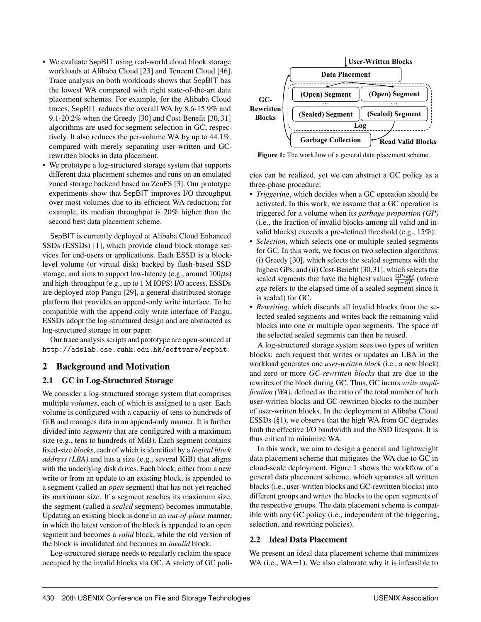- We evaluate SepBIT using real-world cloud block storage workloads at Alibaba Cloud [\[23\]](#page-14-17) and Tencent Cloud [\[46\]](#page-15-6). Trace analysis on both workloads shows that SepBIT has the lowest WA compared with eight state-of-the-art data placement schemes. For example, for the Alibaba Cloud traces, SepBIT reduces the overall WA by 8.6-15.9% and 9.1-20.2% when the Greedy [\[30\]](#page-14-0) and Cost-Benefit [\[30,](#page-14-0) [31\]](#page-14-10) algorithms are used for segment selection in GC, respectively. It also reduces the per-volume WA by up to 44.1%, compared with merely separating user-written and GCrewritten blocks in data placement.
- We prototype a log-structured storage system that supports different data placement schemes and runs on an emulated zoned storage backend based on ZenFS [\[3\]](#page-14-18). Our prototype experiments show that SepBIT improves I/O throughput over most volumes due to its efficient WA reduction; for example, its median throughput is 20% higher than the second best data placement scheme.

SepBIT is currently deployed at Alibaba Cloud Enhanced SSDs (ESSDs) [\[1\]](#page-14-19), which provide cloud block storage services for end-users or applications. Each ESSD is a blocklevel volume (or virtual disk) backed by flash-based SSD storage, and aims to support low-latency (e.g., around  $100\mu s$ ) and high-throughput (e.g., up to 1 M IOPS) I/O access. ESSDs are deployed atop Pangu [\[29\]](#page-14-20), a general distributed storage platform that provides an append-only write interface. To be compatible with the append-only write interface of Pangu, ESSDs adopt the log-structured design and are abstracted as log-structured storage in our paper.

Our trace analysis scripts and prototype are open-sourced at <http://adslab.cse.cuhk.edu.hk/software/sepbit>.

# 2 Background and Motivation

# <span id="page-2-0"></span>2.1 GC in Log-Structured Storage

We consider a log-structured storage system that comprises multiple *volumes*, each of which is assigned to a user. Each volume is configured with a capacity of tens to hundreds of GiB and manages data in an append-only manner. It is further divided into *segments* that are configured with a maximum size (e.g., tens to hundreds of MiB). Each segment contains fixed-size *blocks*, each of which is identified by a *logical block address (LBA)* and has a size (e.g., several KiB) that aligns with the underlying disk drives. Each block, either from a new write or from an update to an existing block, is appended to a segment (called an *open* segment) that has not yet reached its maximum size. If a segment reaches its maximum size, the segment (called a *sealed* segment) becomes immutable. Updating an existing block is done in an *out-of-place* manner, in which the latest version of the block is appended to an open segment and becomes a *valid* block, while the old version of the block is invalidated and becomes an *invalid* block.

Log-structured storage needs to regularly reclaim the space occupied by the invalid blocks via GC. A variety of GC poli-

<span id="page-2-1"></span>

Figure 1: The workflow of a general data placement scheme.

cies can be realized, yet we can abstract a GC policy as a three-phase procedure:

- *Triggering*, which decides when a GC operation should be activated. In this work, we assume that a GC operation is triggered for a volume when its *garbage proportion (GP)* (i.e., the fraction of invalid blocks among all valid and invalid blocks) exceeds a pre-defined threshold (e.g., 15%).
- *Selection*, which selects one or multiple sealed segments for GC. In this work, we focus on two selection algorithms: (i) Greedy [\[30\]](#page-14-0), which selects the sealed segments with the highest GPs, and (ii) Cost-Benefit [\[30,](#page-14-0)[31\]](#page-14-10), which selects the sealed segments that have the highest values *GP*∗*age* <sup>1</sup>−*GP* (where *age* refers to the elapsed time of a sealed segment since it is sealed) for GC.
- *Rewriting*, which discards all invalid blocks from the selected sealed segments and writes back the remaining valid blocks into one or multiple open segments. The space of the selected sealed segments can then be reused.

A log-structured storage system sees two types of written blocks: each request that writes or updates an LBA in the workload generates one *user-written block* (i.e., a new block) and zero or more *GC-rewritten blocks* that are due to the rewrites of the block during GC. Thus, GC incurs *write amplification (WA)*, defined as the ratio of the total number of both user-written blocks and GC-rewritten blocks to the number of user-written blocks. In the deployment at Alibaba Cloud ESSDs ([§1\)](#page-1-0), we observe that the high WA from GC degrades both the effective I/O bandwidth and the SSD lifespans. It is thus critical to minimize WA.

In this work, we aim to design a general and lightweight data placement scheme that mitigates the WA due to GC in cloud-scale deployment. Figure [1](#page-2-1) shows the workflow of a general data placement scheme, which separates all written blocks (i.e., user-written blocks and GC-rewritten blocks) into different groups and writes the blocks to the open segments of the respective groups. The data placement scheme is compatible with any GC policy (i.e., independent of the triggering, selection, and rewriting policies).

# <span id="page-2-2"></span>2.2 Ideal Data Placement

We present an ideal data placement scheme that minimizes WA (i.e.,  $WA=1$ ). We also elaborate why it is infeasible to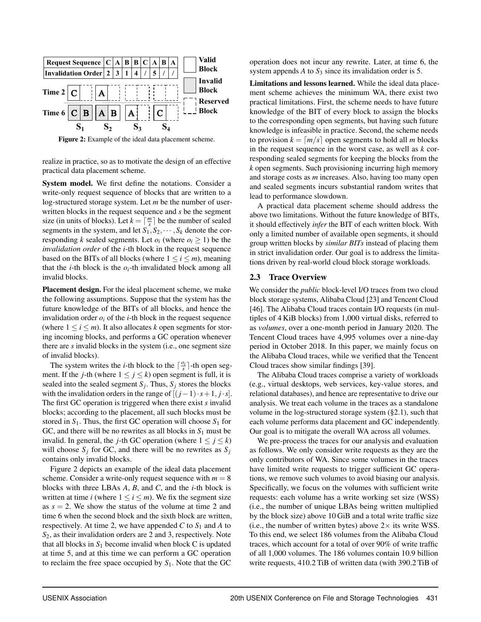<span id="page-3-0"></span>

Figure 2: Example of the ideal data placement scheme.

realize in practice, so as to motivate the design of an effective practical data placement scheme.

System model. We first define the notations. Consider a write-only request sequence of blocks that are written to a log-structured storage system. Let *m* be the number of userwritten blocks in the request sequence and *s* be the segment size (in units of blocks). Let  $k = \lceil \frac{m}{s} \rceil$  be the number of sealed segments in the system, and let  $S_1, S_2, \dots, S_k$  denote the corresponding *k* sealed segments. Let  $o_i$  (where  $o_i \geq 1$ ) be the *invalidation order* of the *i*-th block in the request sequence based on the BITs of all blocks (where  $1 \le i \le m$ ), meaning that the *i*-th block is the  $o_i$ -th invalidated block among all invalid blocks.

Placement design. For the ideal placement scheme, we make the following assumptions. Suppose that the system has the future knowledge of the BITs of all blocks, and hence the invalidation order  $o_i$  of the *i*-th block in the request sequence (where  $1 \le i \le m$ ). It also allocates *k* open segments for storing incoming blocks, and performs a GC operation whenever there are *s* invalid blocks in the system (i.e., one segment size of invalid blocks).

The system writes the *i*-th block to the  $\lceil \frac{o_i}{s} \rceil$ -th open segment. If the *j*-th (where  $1 \le j \le k$ ) open segment is full, it is sealed into the sealed segment  $S_j$ . Thus,  $S_j$  stores the blocks with the invalidation orders in the range of  $[(j-1)\cdot s+1, j\cdot s]$ . The first GC operation is triggered when there exist *s* invalid blocks; according to the placement, all such blocks must be stored in  $S_1$ . Thus, the first GC operation will choose  $S_1$  for GC, and there will be no rewrites as all blocks in  $S_1$  must be invalid. In general, the *j*-th GC operation (where  $1 \le j \le k$ ) will choose  $S_j$  for GC, and there will be no rewrites as  $S_j$ contains only invalid blocks.

Figure [2](#page-3-0) depicts an example of the ideal data placement scheme. Consider a write-only request sequence with  $m = 8$ blocks with three LBAs *A*, *B*, and *C*, and the *i*-th block is written at time *i* (where  $1 \le i \le m$ ). We fix the segment size as  $s = 2$ . We show the status of the volume at time 2 and time 6 when the second block and the sixth block are written, respectively. At time 2, we have appended  $C$  to  $S_1$  and  $A$  to *S*2, as their invalidation orders are 2 and 3, respectively. Note that all blocks in  $S_1$  become invalid when block  $C$  is updated at time 5, and at this time we can perform a GC operation to reclaim the free space occupied by  $S_1$ . Note that the GC

operation does not incur any rewrite. Later, at time 6, the system appends  $A$  to  $S_3$  since its invalidation order is 5.

Limitations and lessons learned. While the ideal data placement scheme achieves the minimum WA, there exist two practical limitations. First, the scheme needs to have future knowledge of the BIT of every block to assign the blocks to the corresponding open segments, but having such future knowledge is infeasible in practice. Second, the scheme needs to provision  $k = \lfloor m/s \rfloor$  open segments to hold all *m* blocks in the request sequence in the worst case, as well as *k* corresponding sealed segments for keeping the blocks from the *k* open segments. Such provisioning incurring high memory and storage costs as *m* increases. Also, having too many open and sealed segments incurs substantial random writes that lead to performance slowdown.

A practical data placement scheme should address the above two limitations. Without the future knowledge of BITs, it should effectively *infer* the BIT of each written block. With only a limited number of available open segments, it should group written blocks by *similar BITs* instead of placing them in strict invalidation order. Our goal is to address the limitations driven by real-world cloud block storage workloads.

#### <span id="page-3-1"></span>2.3 Trace Overview

We consider the *public* block-level I/O traces from two cloud block storage systems, Alibaba Cloud [\[23\]](#page-14-17) and Tencent Cloud [\[46\]](#page-15-6). The Alibaba Cloud traces contain I/O requests (in multiples of 4 KiB blocks) from 1,000 virtual disks, referred to as *volumes*, over a one-month period in January 2020. The Tencent Cloud traces have 4,995 volumes over a nine-day period in October 2018. In this paper, we mainly focus on the Alibaba Cloud traces, while we verified that the Tencent Cloud traces show similar findings [\[39\]](#page-15-7).

The Alibaba Cloud traces comprise a variety of workloads (e.g., virtual desktops, web services, key-value stores, and relational databases), and hence are representative to drive our analysis. We treat each volume in the traces as a standalone volume in the log-structured storage system ([§2.1\)](#page-2-0), such that each volume performs data placement and GC independently. Our goal is to mitigate the overall WA across all volumes.

We pre-process the traces for our analysis and evaluation as follows. We only consider write requests as they are the only contributors of WA. Since some volumes in the traces have limited write requests to trigger sufficient GC operations, we remove such volumes to avoid biasing our analysis. Specifically, we focus on the volumes with sufficient write requests: each volume has a write working set size (WSS) (i.e., the number of unique LBAs being written multiplied by the block size) above 10 GiB and a total write traffic size (i.e., the number of written bytes) above  $2 \times$  its write WSS. To this end, we select 186 volumes from the Alibaba Cloud traces, which account for a total of over 90% of write traffic of all 1,000 volumes. The 186 volumes contain 10.9 billion write requests, 410.2 TiB of written data (with 390.2 TiB of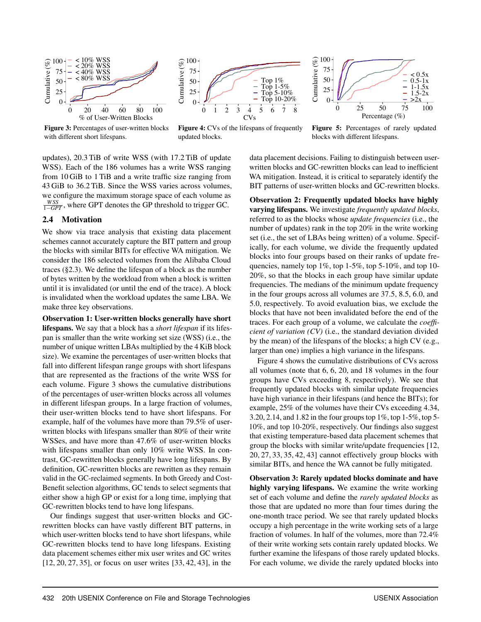<span id="page-4-0"></span>



100 Cumulative (%) Cumulative  $(\%$ 75 < 0.5x 0.5-1x 50  $.5x$ 25  $\overline{5}$ 0  $>2x$ 0 25 50 75 100 Percentage  $(\%)$ 

Figure 3: Percentages of user-written blocks with different short lifespans.



Figure 5: Percentages of rarely updated blocks with different lifespans.

updates), 20.3 TiB of write WSS (with 17.2 TiB of update WSS). Each of the 186 volumes has a write WSS ranging from 10 GiB to 1 TiB and a write traffic size ranging from 43 GiB to 36.2 TiB. Since the WSS varies across volumes, we configure the maximum storage space of each volume as *W SS* <sup>1</sup>−*GPT* , where GPT denotes the GP threshold to trigger GC.

# <span id="page-4-1"></span>2.4 Motivation

We show via trace analysis that existing data placement schemes cannot accurately capture the BIT pattern and group the blocks with similar BITs for effective WA mitigation. We consider the 186 selected volumes from the Alibaba Cloud traces ([§2.3\)](#page-3-1). We define the lifespan of a block as the number of bytes written by the workload from when a block is written until it is invalidated (or until the end of the trace). A block is invalidated when the workload updates the same LBA. We make three key observations.

Observation 1: User-written blocks generally have short lifespans. We say that a block has a *short lifespan* if its lifespan is smaller than the write working set size (WSS) (i.e., the number of unique written LBAs multiplied by the 4 KiB block size). We examine the percentages of user-written blocks that fall into different lifespan range groups with short lifespans that are represented as the fractions of the write WSS for each volume. Figure [3](#page-4-0) shows the cumulative distributions of the percentages of user-written blocks across all volumes in different lifespan groups. In a large fraction of volumes, their user-written blocks tend to have short lifespans. For example, half of the volumes have more than 79.5% of userwritten blocks with lifespans smaller than 80% of their write WSSes, and have more than 47.6% of user-written blocks with lifespans smaller than only 10% write WSS. In contrast, GC-rewritten blocks generally have long lifespans. By definition, GC-rewritten blocks are rewritten as they remain valid in the GC-reclaimed segments. In both Greedy and Cost-Benefit selection algorithms, GC tends to select segments that either show a high GP or exist for a long time, implying that GC-rewritten blocks tend to have long lifespans.

Our findings suggest that user-written blocks and GCrewritten blocks can have vastly different BIT patterns, in which user-written blocks tend to have short lifespans, while GC-rewritten blocks tend to have long lifespans. Existing data placement schemes either mix user writes and GC writes [\[12,](#page-14-15) [20,](#page-14-16) [27,](#page-14-5) [35\]](#page-15-3), or focus on user writes [\[33,](#page-15-2) [42,](#page-15-4) [43\]](#page-15-5), in the

data placement decisions. Failing to distinguish between userwritten blocks and GC-rewritten blocks can lead to inefficient WA mitigation. Instead, it is critical to separately identify the BIT patterns of user-written blocks and GC-rewritten blocks.

Observation 2: Frequently updated blocks have highly varying lifespans. We investigate *frequently updated blocks*, referred to as the blocks whose *update frequencies* (i.e., the number of updates) rank in the top 20% in the write working set (i.e., the set of LBAs being written) of a volume. Specifically, for each volume, we divide the frequently updated blocks into four groups based on their ranks of update frequencies, namely top 1%, top 1-5%, top 5-10%, and top 10- 20%, so that the blocks in each group have similar update frequencies. The medians of the minimum update frequency in the four groups across all volumes are 37.5, 8.5, 6.0, and 5.0, respectively. To avoid evaluation bias, we exclude the blocks that have not been invalidated before the end of the traces. For each group of a volume, we calculate the *coefficient of variation (CV)* (i.e., the standard deviation divided by the mean) of the lifespans of the blocks; a high CV (e.g., larger than one) implies a high variance in the lifespans.

Figure [4](#page-4-0) shows the cumulative distributions of CVs across all volumes (note that 6, 6, 20, and 18 volumes in the four groups have CVs exceeding 8, respectively). We see that frequently updated blocks with similar update frequencies have high variance in their lifespans (and hence the BITs); for example, 25% of the volumes have their CVs exceeding 4.34, 3.20, 2.14, and 1.82 in the four groups top 1%, top 1-5%, top 5- 10%, and top 10-20%, respectively. Our findings also suggest that existing temperature-based data placement schemes that group the blocks with similar write/update frequencies [\[12,](#page-14-15) [20,](#page-14-16) [27,](#page-14-5) [33,](#page-15-2) [35,](#page-15-3) [42,](#page-15-4) [43\]](#page-15-5) cannot effectively group blocks with similar BITs, and hence the WA cannot be fully mitigated.

Observation 3: Rarely updated blocks dominate and have highly varying lifespans. We examine the write working set of each volume and define the *rarely updated blocks* as those that are updated no more than four times during the one-month trace period. We see that rarely updated blocks occupy a high percentage in the write working sets of a large fraction of volumes. In half of the volumes, more than 72.4% of their write working sets contain rarely updated blocks. We further examine the lifespans of those rarely updated blocks. For each volume, we divide the rarely updated blocks into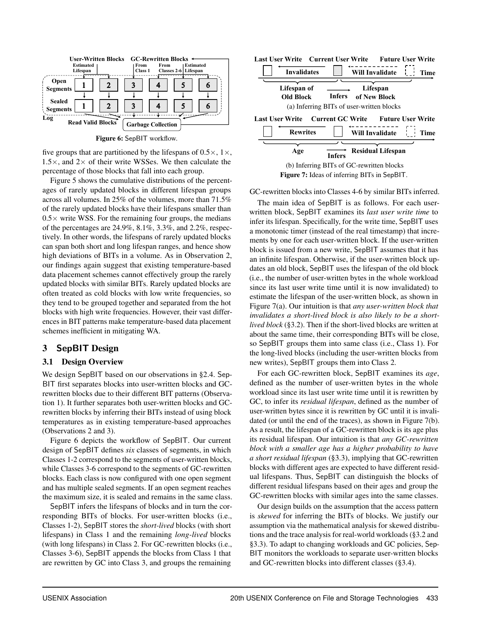<span id="page-5-0"></span>

Figure 6: SepBIT workflow.

five groups that are partitioned by the lifespans of  $0.5 \times$ ,  $1 \times$ ,  $1.5\times$ , and  $2\times$  of their write WSSes. We then calculate the percentage of those blocks that fall into each group.

Figure [5](#page-4-0) shows the cumulative distributions of the percentages of rarely updated blocks in different lifespan groups across all volumes. In 25% of the volumes, more than 71.5% of the rarely updated blocks have their lifespans smaller than  $0.5\times$  write WSS. For the remaining four groups, the medians of the percentages are 24.9%, 8.1%, 3.3%, and 2.2%, respectively. In other words, the lifespans of rarely updated blocks can span both short and long lifespan ranges, and hence show high deviations of BITs in a volume. As in Observation 2, our findings again suggest that existing temperature-based data placement schemes cannot effectively group the rarely updated blocks with similar BITs. Rarely updated blocks are often treated as cold blocks with low write frequencies, so they tend to be grouped together and separated from the hot blocks with high write frequencies. However, their vast differences in BIT patterns make temperature-based data placement schemes inefficient in mitigating WA.

# 3 SepBIT Design

### <span id="page-5-2"></span>3.1 Design Overview

We design SepBIT based on our observations in [§2.4.](#page-4-1) Sep-BIT first separates blocks into user-written blocks and GCrewritten blocks due to their different BIT patterns (Observation 1). It further separates both user-written blocks and GCrewritten blocks by inferring their BITs instead of using block temperatures as in existing temperature-based approaches (Observations 2 and 3).

Figure [6](#page-5-0) depicts the workflow of SepBIT. Our current design of SepBIT defines *six* classes of segments, in which Classes 1-2 correspond to the segments of user-written blocks, while Classes 3-6 correspond to the segments of GC-rewritten blocks. Each class is now configured with one open segment and has multiple sealed segments. If an open segment reaches the maximum size, it is sealed and remains in the same class.

SepBIT infers the lifespans of blocks and in turn the corresponding BITs of blocks. For user-written blocks (i.e., Classes 1-2), SepBIT stores the *short-lived* blocks (with short lifespans) in Class 1 and the remaining *long-lived* blocks (with long lifespans) in Class 2. For GC-rewritten blocks (i.e., Classes 3-6), SepBIT appends the blocks from Class 1 that are rewritten by GC into Class 3, and groups the remaining

<span id="page-5-1"></span>

GC-rewritten blocks into Classes 4-6 by similar BITs inferred.

The main idea of SepBIT is as follows. For each userwritten block, SepBIT examines its *last user write time* to infer its lifespan. Specifically, for the write time, SepBIT uses a monotonic timer (instead of the real timestamp) that increments by one for each user-written block. If the user-written block is issued from a new write, SepBIT assumes that it has an infinite lifespan. Otherwise, if the user-written block updates an old block, SepBIT uses the lifespan of the old block (i.e., the number of user-written bytes in the whole workload since its last user write time until it is now invalidated) to estimate the lifespan of the user-written block, as shown in Figure [7\(](#page-5-1)a). Our intuition is that *any user-written block that invalidates a short-lived block is also likely to be a shortlived block* ([§3.2\)](#page-6-0). Then if the short-lived blocks are written at about the same time, their corresponding BITs will be close, so SepBIT groups them into same class (i.e., Class 1). For the long-lived blocks (including the user-written blocks from new writes), SepBIT groups them into Class 2.

For each GC-rewritten block, SepBIT examines its *age*, defined as the number of user-written bytes in the whole workload since its last user write time until it is rewritten by GC, to infer its *residual lifespan*, defined as the number of user-written bytes since it is rewritten by GC until it is invalidated (or until the end of the traces), as shown in Figure [7\(](#page-5-1)b). As a result, the lifespan of a GC-rewritten block is its age plus its residual lifespan. Our intuition is that *any GC-rewritten block with a smaller age has a higher probability to have a short residual lifespan* ([§3.3\)](#page-6-1), implying that GC-rewritten blocks with different ages are expected to have different residual lifespans. Thus, SepBIT can distinguish the blocks of different residual lifespans based on their ages and group the GC-rewritten blocks with similar ages into the same classes.

Our design builds on the assumption that the access pattern is *skewed* for inferring the BITs of blocks. We justify our assumption via the mathematical analysis for skewed distributions and the trace analysis for real-world workloads ([§3.2](#page-6-0) and [§3.3\)](#page-6-1). To adapt to changing workloads and GC policies, Sep-BIT monitors the workloads to separate user-written blocks and GC-rewritten blocks into different classes ([§3.4\)](#page-7-0).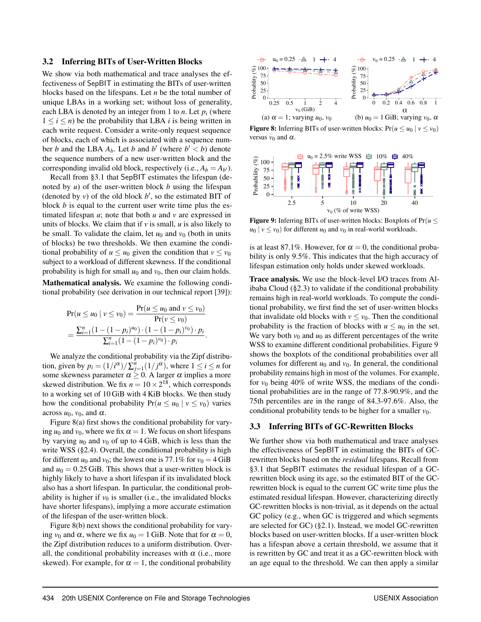#### <span id="page-6-0"></span>3.2 Inferring BITs of User-Written Blocks

We show via both mathematical and trace analyses the effectiveness of SepBIT in estimating the BITs of user-written blocks based on the lifespans. Let *n* be the total number of unique LBAs in a working set; without loss of generality, each LBA is denoted by an integer from 1 to *n*. Let  $p_i$  (where  $1 \leq i \leq n$ ) be the probability that LBA *i* is being written in each write request. Consider a write-only request sequence of blocks, each of which is associated with a sequence number *b* and the LBA  $A_b$ . Let *b* and  $b'$  (where  $b' < b$ ) denote the sequence numbers of a new user-written block and the corresponding invalid old block, respectively (i.e.,  $A_b = A_{b'}$ ).

Recall from [§3.1](#page-5-2) that SepBIT estimates the lifespan (denoted by *u*) of the user-written block *b* using the lifespan (denoted by  $v$ ) of the old block  $b'$ , so the estimated BIT of block *b* is equal to the current user write time plus the estimated lifespan *u*; note that both *u* and *v* are expressed in units of blocks. We claim that if  $\nu$  is small,  $u$  is also likely to be small. To validate the claim, let  $u_0$  and  $v_0$  (both in units of blocks) be two thresholds. We then examine the conditional probability of  $u \leq u_0$  given the condition that  $v \leq v_0$ subject to a workload of different skewness. If the conditional probability is high for small  $u_0$  and  $v_0$ , then our claim holds.

Mathematical analysis. We examine the following conditional probability (see derivation in our technical report [\[39\]](#page-15-7)):

$$
\Pr(u \le u_0 \mid v \le v_0) = \frac{\Pr(u \le u_0 \text{ and } v \le v_0)}{\Pr(v \le v_0)} = \frac{\sum_{i=1}^n (1 - (1 - p_i)^{u_0}) \cdot (1 - (1 - p_i)^{v_0}) \cdot p_i}{\sum_{i=1}^n (1 - (1 - p_i)^{v_0}) \cdot p_i}.
$$

We analyze the conditional probability via the Zipf distribution, given by  $p_i = (1/i^{\alpha})/\sum_{j=1}^n (1/j^{\alpha})$ , where  $1 \le i \le n$  for some skewness parameter  $\alpha \geq 0$ . A larger  $\alpha$  implies a more skewed distribution. We fix  $n = 10 \times 2^{18}$ , which corresponds to a working set of 10 GiB with 4 KiB blocks. We then study how the conditional probability  $Pr(u \le u_0 | v \le v_0)$  varies across  $u_0$ ,  $v_0$ , and  $\alpha$ .

Figure [8\(](#page-6-2)a) first shows the conditional probability for varying  $u_0$  and  $v_0$ , where we fix  $\alpha = 1$ . We focus on short lifespans by varying  $u_0$  and  $v_0$  of up to 4 GiB, which is less than the write WSS ([§2.4\)](#page-4-1). Overall, the conditional probability is high for different  $u_0$  and  $v_0$ ; the lowest one is 77.1% for  $v_0 = 4$  GiB and  $u_0 = 0.25$  GiB. This shows that a user-written block is highly likely to have a short lifespan if its invalidated block also has a short lifespan. In particular, the conditional probability is higher if  $v_0$  is smaller (i.e., the invalidated blocks have shorter lifespans), implying a more accurate estimation of the lifespan of the user-written block.

Figure [8\(](#page-6-2)b) next shows the conditional probability for varying  $v_0$  and  $\alpha$ , where we fix  $u_0 = 1$  GiB. Note that for  $\alpha = 0$ , the Zipf distribution reduces to a uniform distribution. Overall, the conditional probability increases with  $\alpha$  (i.e., more skewed). For example, for  $\alpha = 1$ , the conditional probability

<span id="page-6-2"></span>

**Figure 8:** Inferring BITs of user-written blocks:  $Pr(u \le u_0 | v \le v_0)$ versus  $v_0$  and  $\alpha$ .

<span id="page-6-3"></span>

Figure 9: Inferring BITs of user-written blocks: Boxplots of  $Pr(u \leq$  $u_0$  |  $v \le v_0$ ) for different  $u_0$  and  $v_0$  in real-world workloads.

is at least 87.1%. However, for  $\alpha = 0$ , the conditional probability is only 9.5%. This indicates that the high accuracy of lifespan estimation only holds under skewed workloads.

Trace analysis. We use the block-level I/O traces from Alibaba Cloud ([§2.3\)](#page-3-1) to validate if the conditional probability remains high in real-world workloads. To compute the conditional probability, we first find the set of user-written blocks that invalidate old blocks with  $v \le v_0$ . Then the conditional probability is the fraction of blocks with  $u \le u_0$  in the set. We vary both  $v_0$  and  $u_0$  as different percentages of the write WSS to examine different conditional probabilities. Figure [9](#page-6-3) shows the boxplots of the conditional probabilities over all volumes for different  $u_0$  and  $v_0$ . In general, the conditional probability remains high in most of the volumes. For example, for  $v_0$  being 40% of write WSS, the medians of the conditional probabilities are in the range of 77.8-90.9%, and the 75th percentiles are in the range of 84.3-97.6%. Also, the conditional probability tends to be higher for a smaller  $v_0$ .

#### <span id="page-6-1"></span>3.3 Inferring BITs of GC-Rewritten Blocks

We further show via both mathematical and trace analyses the effectiveness of SepBIT in estimating the BITs of GCrewritten blocks based on the *residual* lifespans. Recall from [§3.1](#page-5-2) that SepBIT estimates the residual lifespan of a GCrewritten block using its age, so the estimated BIT of the GCrewritten block is equal to the current GC write time plus the estimated residual lifespan. However, characterizing directly GC-rewritten blocks is non-trivial, as it depends on the actual GC policy (e.g., when GC is triggered and which segments are selected for GC) ([§2.1\)](#page-2-0). Instead, we model GC-rewritten blocks based on user-written blocks. If a user-written block has a lifespan above a certain threshold, we assume that it is rewritten by GC and treat it as a GC-rewritten block with an age equal to the threshold. We can then apply a similar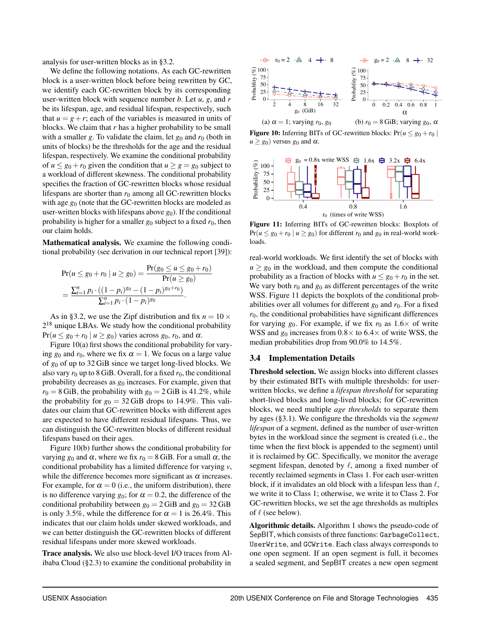analysis for user-written blocks as in [§3.2.](#page-6-0)

We define the following notations. As each GC-rewritten block is a user-written block before being rewritten by GC, we identify each GC-rewritten block by its corresponding user-written block with sequence number *b*. Let *u*, *g*, and *r* be its lifespan, age, and residual lifespan, respectively, such that  $u = g + r$ ; each of the variables is measured in units of blocks. We claim that *r* has a higher probability to be small with a smaller *g*. To validate the claim, let  $g_0$  and  $r_0$  (both in units of blocks) be the thresholds for the age and the residual lifespan, respectively. We examine the conditional probability of  $u \leq g_0 + r_0$  given the condition that  $u \geq g = g_0$  subject to a workload of different skewness. The conditional probability specifies the fraction of GC-rewritten blocks whose residual lifespans are shorter than  $r_0$  among all GC-rewritten blocks with age  $g_0$  (note that the GC-rewritten blocks are modeled as user-written blocks with lifespans above  $g_0$ ). If the conditional probability is higher for a smaller  $g_0$  subject to a fixed  $r_0$ , then our claim holds.

Mathematical analysis. We examine the following conditional probability (see derivation in our technical report [\[39\]](#page-15-7)):

$$
\Pr(u \le g_0 + r_0 \mid u \ge g_0) = \frac{\Pr(g_0 \le u \le g_0 + r_0)}{\Pr(u \ge g_0)} = \frac{\sum_{i=1}^n p_i \cdot ((1 - p_i)^{g_0} - (1 - p_i)^{g_0 + r_0})}{\sum_{i=1}^n p_i \cdot (1 - p_i)^{g_0}}.
$$

As in [§3.2,](#page-6-0) we use the Zipf distribution and fix  $n = 10 \times$  $2^{18}$  unique LBAs. We study how the conditional probability  $Pr(u \leq g_0 + r_0 \mid u \geq g_0)$  varies across  $g_0, r_0$ , and  $\alpha$ .

Figure [10\(](#page-7-1)a) first shows the conditional probability for varying  $g_0$  and  $r_0$ , where we fix  $\alpha = 1$ . We focus on a large value of *g*<sup>0</sup> of up to 32 GiB since we target long-lived blocks. We also vary  $r_0$  up to 8 GiB. Overall, for a fixed  $r_0$ , the conditional probability decreases as *g*<sup>0</sup> increases. For example, given that  $r_0 = 8$  GiB, the probability with  $g_0 = 2$  GiB is 41.2%, while the probability for  $g_0 = 32$  GiB drops to 14.9%. This validates our claim that GC-rewritten blocks with different ages are expected to have different residual lifespans. Thus, we can distinguish the GC-rewritten blocks of different residual lifespans based on their ages.

Figure [10\(](#page-7-1)b) further shows the conditional probability for varying  $g_0$  and  $\alpha$ , where we fix  $r_0 = 8$  GiB. For a small  $\alpha$ , the conditional probability has a limited difference for varying *v*, while the difference becomes more significant as  $\alpha$  increases. For example, for  $\alpha = 0$  (i.e., the uniform distribution), there is no difference varying  $g_0$ ; for  $\alpha = 0.2$ , the difference of the conditional probability between  $g_0 = 2$  GiB and  $g_0 = 32$  GiB is only 3.5%, while the difference for  $\alpha = 1$  is 26.4%. This indicates that our claim holds under skewed workloads, and we can better distinguish the GC-rewritten blocks of different residual lifespans under more skewed workloads.

Trace analysis. We also use block-level I/O traces from Alibaba Cloud ([§2.3\)](#page-3-1) to examine the conditional probability in

<span id="page-7-1"></span>

**Figure 10:** Inferring BITs of GC-rewritten blocks:  $Pr(u \le g_0 + r_0)$  $u \ge g_0$ ) versus  $g_0$  and  $\alpha$ .

<span id="page-7-2"></span>

Figure 11: Inferring BITs of GC-rewritten blocks: Boxplots of  $Pr(u \le g_0 + r_0 \mid u \ge g_0)$  for different  $r_0$  and  $g_0$  in real-world workloads.

real-world workloads. We first identify the set of blocks with  $u \geq g_0$  in the workload, and then compute the conditional probability as a fraction of blocks with  $u \leq g_0 + r_0$  in the set. We vary both  $r_0$  and  $g_0$  as different percentages of the write WSS. Figure [11](#page-7-2) depicts the boxplots of the conditional probabilities over all volumes for different  $g_0$  and  $r_0$ . For a fixed  $r<sub>0</sub>$ , the conditional probabilities have significant differences for varying  $g_0$ . For example, if we fix  $r_0$  as  $1.6 \times$  of write WSS and  $g_0$  increases from  $0.8 \times$  to  $6.4 \times$  of write WSS, the median probabilities drop from 90.0% to 14.5%.

#### <span id="page-7-0"></span>3.4 Implementation Details

Threshold selection. We assign blocks into different classes by their estimated BITs with multiple thresholds: for userwritten blocks, we define a *lifespan threshold* for separating short-lived blocks and long-lived blocks; for GC-rewritten blocks, we need multiple *age thresholds* to separate them by ages ([§3.1\)](#page-5-2). We configure the thresholds via the *segment lifespan* of a segment, defined as the number of user-written bytes in the workload since the segment is created (i.e., the time when the first block is appended to the segment) until it is reclaimed by GC. Specifically, we monitor the average segment lifespan, denoted by  $\ell$ , among a fixed number of recently reclaimed segments in Class 1. For each user-written block, if it invalidates an old block with a lifespan less than  $\ell$ , we write it to Class 1; otherwise, we write it to Class 2. For GC-rewritten blocks, we set the age thresholds as multiples of  $\ell$  (see below).

Algorithmic details. Algorithm [1](#page-8-0) shows the pseudo-code of SepBIT, which consists of three functions: GarbageCollect, UserWrite, and GCWrite. Each class always corresponds to one open segment. If an open segment is full, it becomes a sealed segment, and SepBIT creates a new open segment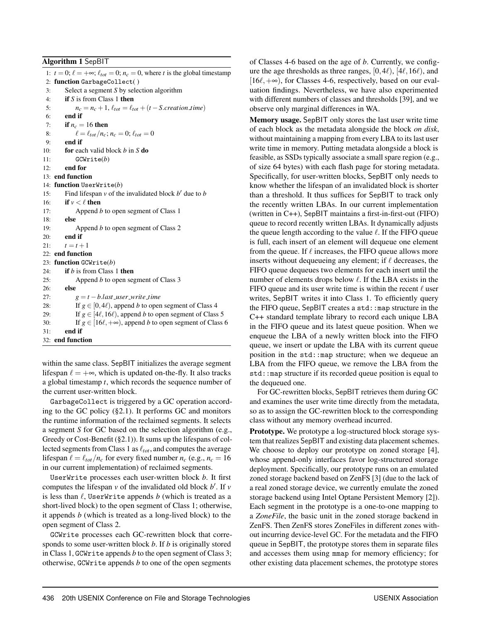<span id="page-8-0"></span>Algorithm 1 SepBIT

1:  $t = 0$ ;  $\ell = +\infty$ ;  $\ell_{tot} = 0$ ;  $n_c = 0$ , where *t* is the global timestamp 2: function GarbageCollect( ) 3: Select a segment *S* by selection algorithm 4: if *S* is from Class 1 then 5:  $n_c = n_c + 1$ ,  $\ell_{tot} = \ell_{tot} + (t - S.\text{creation_time})$ 6: end if 7: if  $n_c = 16$  then 8:  $\ell = \ell_{tot}/n_c; n_c = 0; \ell_{tot} = 0$ 9: end if 10: for each valid block *b* in *S* do 11: GCWrite(*b*) 12: end for 13: end function 14: function UserWrite(*b*) 15: Find lifespan  $v$  of the invalidated block  $b'$  due to  $b$ 16: **if**  $v < l$  then 17: Append *b* to open segment of Class 1 18: else 19: Append *b* to open segment of Class 2  $20:$  end if 21:  $t = t + 1$ 22: end function 23: function GCWrite(*b*) 24: if *b* is from Class 1 then 25: Append *b* to open segment of Class 3 26: else 27:  $g = t - b$ *.last\_user\_write\_time* 28: If  $g \in [0, 4\ell)$ , append *b* to open segment of Class 4 29: If  $g \in [4\ell, 16\ell)$ , append *b* to open segment of Class 5 30: If  $g \in [16\ell, +\infty)$ , append *b* to open segment of Class 6 31: end if 32: end function

within the same class. SepBIT initializes the average segment lifespan  $\ell = +\infty$ , which is updated on-the-fly. It also tracks a global timestamp *t*, which records the sequence number of the current user-written block.

GarbageCollect is triggered by a GC operation according to the GC policy ([§2.1\)](#page-2-0). It performs GC and monitors the runtime information of the reclaimed segments. It selects a segment *S* for GC based on the selection algorithm (e.g., Greedy or Cost-Benefit ([§2.1\)](#page-2-0)). It sums up the lifespans of collected segments from Class 1 as  $\ell_{tot}$ , and computes the average lifespan  $\ell = \ell_{tot}/n_c$  for every fixed number  $n_c$  (e.g.,  $n_c = 16$ ) in our current implementation) of reclaimed segments.

UserWrite processes each user-written block *b*. It first computes the lifespan  $v$  of the invalidated old block  $b'$ . If  $v$ is less than  $\ell$ , UserWrite appends  $b$  (which is treated as a short-lived block) to the open segment of Class 1; otherwise, it appends *b* (which is treated as a long-lived block) to the open segment of Class 2.

GCWrite processes each GC-rewritten block that corresponds to some user-written block *b*. If *b* is originally stored in Class 1, GCWrite appends *b* to the open segment of Class 3; otherwise, GCWrite appends *b* to one of the open segments

of Classes 4-6 based on the age of *b*. Currently, we configure the age thresholds as three ranges,  $[0,4\ell)$ ,  $[4\ell,16\ell)$ , and  $[16\ell, +\infty)$ , for Classes 4-6, respectively, based on our evaluation findings. Nevertheless, we have also experimented with different numbers of classes and thresholds [\[39\]](#page-15-7), and we observe only marginal differences in WA.

Memory usage. SepBIT only stores the last user write time of each block as the metadata alongside the block *on disk*, without maintaining a mapping from every LBA to its last user write time in memory. Putting metadata alongside a block is feasible, as SSDs typically associate a small spare region (e.g., of size 64 bytes) with each flash page for storing metadata. Specifically, for user-written blocks, SepBIT only needs to know whether the lifespan of an invalidated block is shorter than a threshold. It thus suffices for SepBIT to track only the recently written LBAs. In our current implementation (written in C++), SepBIT maintains a first-in-first-out (FIFO) queue to record recently written LBAs. It dynamically adjusts the queue length according to the value  $\ell$ . If the FIFO queue is full, each insert of an element will dequeue one element from the queue. If  $\ell$  increases, the FIFO queue allows more inserts without dequeueing any element; if  $\ell$  decreases, the FIFO queue dequeues two elements for each insert until the number of elements drops below  $\ell$ . If the LBA exists in the FIFO queue and its user write time is within the recent  $\ell$  user writes, SepBIT writes it into Class 1. To efficiently query the FIFO queue, SepBIT creates a std::map structure in the C++ standard template library to record each unique LBA in the FIFO queue and its latest queue position. When we enqueue the LBA of a newly written block into the FIFO queue, we insert or update the LBA with its current queue position in the std::map structure; when we dequeue an LBA from the FIFO queue, we remove the LBA from the std::map structure if its recorded queue position is equal to the dequeued one.

For GC-rewritten blocks, SepBIT retrieves them during GC and examines the user write time directly from the metadata, so as to assign the GC-rewritten block to the corresponding class without any memory overhead incurred.

Prototype. We prototype a log-structured block storage system that realizes SepBIT and existing data placement schemes. We choose to deploy our prototype on zoned storage [\[4\]](#page-14-12), whose append-only interfaces favor log-structured storage deployment. Specifically, our prototype runs on an emulated zoned storage backend based on ZenFS [\[3\]](#page-14-18) (due to the lack of a real zoned storage device, we currently emulate the zoned storage backend using Intel Optane Persistent Memory [\[2\]](#page-14-21)). Each segment in the prototype is a one-to-one mapping to a *ZoneFile*, the basic unit in the zoned storage backend in ZenFS. Then ZenFS stores ZoneFiles in different zones without incurring device-level GC. For the metadata and the FIFO queue in SepBIT, the prototype stores them in separate files and accesses them using mmap for memory efficiency; for other existing data placement schemes, the prototype stores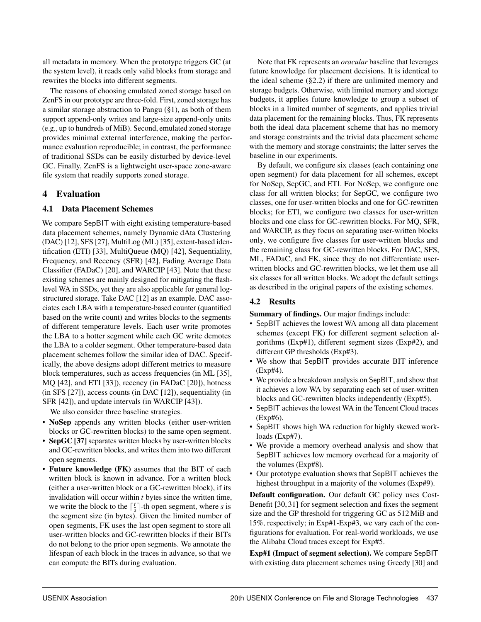all metadata in memory. When the prototype triggers GC (at the system level), it reads only valid blocks from storage and rewrites the blocks into different segments.

The reasons of choosing emulated zoned storage based on ZenFS in our prototype are three-fold. First, zoned storage has a similar storage abstraction to Pangu ([§1\)](#page-1-0), as both of them support append-only writes and large-size append-only units (e.g., up to hundreds of MiB). Second, emulated zoned storage provides minimal external interference, making the performance evaluation reproducible; in contrast, the performance of traditional SSDs can be easily disturbed by device-level GC. Finally, ZenFS is a lightweight user-space zone-aware file system that readily supports zoned storage.

# 4 Evaluation

# <span id="page-9-0"></span>4.1 Data Placement Schemes

We compare SepBIT with eight existing temperature-based data placement schemes, namely Dynamic dAta Clustering (DAC) [\[12\]](#page-14-15), SFS [\[27\]](#page-14-5), MultiLog (ML) [\[35\]](#page-15-3), extent-based identification (ETI) [\[33\]](#page-15-2), MultiQueue (MQ) [\[42\]](#page-15-4), Sequentiality, Frequency, and Recency (SFR) [\[42\]](#page-15-4), Fading Average Data Classifier (FADaC) [\[20\]](#page-14-16), and WARCIP [\[43\]](#page-15-5). Note that these existing schemes are mainly designed for mitigating the flashlevel WA in SSDs, yet they are also applicable for general logstructured storage. Take DAC [\[12\]](#page-14-15) as an example. DAC associates each LBA with a temperature-based counter (quantified based on the write count) and writes blocks to the segments of different temperature levels. Each user write promotes the LBA to a hotter segment while each GC write demotes the LBA to a colder segment. Other temperature-based data placement schemes follow the similar idea of DAC. Specifically, the above designs adopt different metrics to measure block temperatures, such as access frequencies (in ML [\[35\]](#page-15-3), MQ [\[42\]](#page-15-4), and ETI [\[33\]](#page-15-2)), recency (in FADaC [\[20\]](#page-14-16)), hotness (in SFS [\[27\]](#page-14-5)), access counts (in DAC [\[12\]](#page-14-15)), sequentiality (in SFR [\[42\]](#page-15-4)), and update intervals (in WARCIP [\[43\]](#page-15-5)).

We also consider three baseline strategies.

- NoSep appends any written blocks (either user-written blocks or GC-rewritten blocks) to the same open segment.
- SepGC [\[37\]](#page-15-8) separates written blocks by user-written blocks and GC-rewritten blocks, and writes them into two different open segments.
- Future knowledge (FK) assumes that the BIT of each written block is known in advance. For a written block (either a user-written block or a GC-rewritten block), if its invalidation will occur within *t* bytes since the written time, we write the block to the  $\lceil \frac{t}{s} \rceil$ -th open segment, where *s* is the segment size (in bytes). Given the limited number of open segments, FK uses the last open segment to store all user-written blocks and GC-rewritten blocks if their BITs do not belong to the prior open segments. We annotate the lifespan of each block in the traces in advance, so that we can compute the BITs during evaluation.

Note that FK represents an *oracular* baseline that leverages future knowledge for placement decisions. It is identical to the ideal scheme ([§2.2\)](#page-2-2) if there are unlimited memory and storage budgets. Otherwise, with limited memory and storage budgets, it applies future knowledge to group a subset of blocks in a limited number of segments, and applies trivial data placement for the remaining blocks. Thus, FK represents both the ideal data placement scheme that has no memory and storage constraints and the trivial data placement scheme with the memory and storage constraints; the latter serves the baseline in our experiments.

By default, we configure six classes (each containing one open segment) for data placement for all schemes, except for NoSep, SepGC, and ETI. For NoSep, we configure one class for all written blocks; for SepGC, we configure two classes, one for user-written blocks and one for GC-rewritten blocks; for ETI, we configure two classes for user-written blocks and one class for GC-rewritten blocks. For MQ, SFR, and WARCIP, as they focus on separating user-written blocks only, we configure five classes for user-written blocks and the remaining class for GC-rewritten blocks. For DAC, SFS, ML, FADaC, and FK, since they do not differentiate userwritten blocks and GC-rewritten blocks, we let them use all six classes for all written blocks. We adopt the default settings as described in the original papers of the existing schemes.

# 4.2 Results

Summary of findings. Our major findings include:

- SepBIT achieves the lowest WA among all data placement schemes (except FK) for different segment selection algorithms (Exp#1), different segment sizes (Exp#2), and different GP thresholds (Exp#3).
- We show that SepBIT provides accurate BIT inference (Exp#4).
- We provide a breakdown analysis on SepBIT, and show that it achieves a low WA by separating each set of user-written blocks and GC-rewritten blocks independently (Exp#5).
- SepBIT achieves the lowest WA in the Tencent Cloud traces (Exp#6).
- SepBIT shows high WA reduction for highly skewed workloads (Exp#7).
- We provide a memory overhead analysis and show that SepBIT achieves low memory overhead for a majority of the volumes (Exp#8).
- Our prototype evaluation shows that SepBIT achieves the highest throughput in a majority of the volumes (Exp#9).

Default configuration. Our default GC policy uses Cost-Benefit [\[30,](#page-14-0) [31\]](#page-14-10) for segment selection and fixes the segment size and the GP threshold for triggering GC as 512 MiB and 15%, respectively; in Exp#1-Exp#3, we vary each of the configurations for evaluation. For real-world workloads, we use the Alibaba Cloud traces except for Exp#5.

Exp#1 (Impact of segment selection). We compare SepBIT with existing data placement schemes using Greedy [\[30\]](#page-14-0) and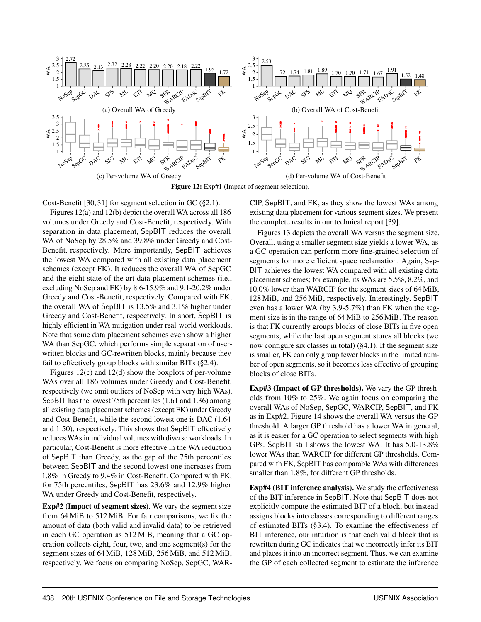<span id="page-10-0"></span>

Figure 12: Exp#1 (Impact of segment selection).

Cost-Benefit [\[30,](#page-14-0) [31\]](#page-14-10) for segment selection in GC ([§2.1\)](#page-2-0).

Figures [12\(](#page-10-0)a) and [12\(](#page-10-0)b) depict the overall WA across all 186 volumes under Greedy and Cost-Benefit, respectively. With separation in data placement, SepBIT reduces the overall WA of NoSep by 28.5% and 39.8% under Greedy and Cost-Benefit, respectively. More importantly, SepBIT achieves the lowest WA compared with all existing data placement schemes (except FK). It reduces the overall WA of SepGC and the eight state-of-the-art data placement schemes (i.e., excluding NoSep and FK) by 8.6-15.9% and 9.1-20.2% under Greedy and Cost-Benefit, respectively. Compared with FK, the overall WA of SepBIT is 13.5% and 3.1% higher under Greedy and Cost-Benefit, respectively. In short, SepBIT is highly efficient in WA mitigation under real-world workloads. Note that some data placement schemes even show a higher WA than SepGC, which performs simple separation of userwritten blocks and GC-rewritten blocks, mainly because they fail to effectively group blocks with similar BITs ([§2.4\)](#page-4-1).

Figures [12\(](#page-10-0)c) and [12\(](#page-10-0)d) show the boxplots of per-volume WAs over all 186 volumes under Greedy and Cost-Benefit, respectively (we omit outliers of NoSep with very high WAs). SepBIT has the lowest 75th percentiles (1.61 and 1.36) among all existing data placement schemes (except FK) under Greedy and Cost-Benefit, while the second lowest one is DAC (1.64 and 1.50), respectively. This shows that SepBIT effectively reduces WAs in individual volumes with diverse workloads. In particular, Cost-Benefit is more effective in the WA reduction of SepBIT than Greedy, as the gap of the 75th percentiles between SepBIT and the second lowest one increases from 1.8% in Greedy to 9.4% in Cost-Benefit. Compared with FK, for 75th percentiles, SepBIT has 23.6% and 12.9% higher WA under Greedy and Cost-Benefit, respectively.

Exp#2 (Impact of segment sizes). We vary the segment size from 64 MiB to 512 MiB. For fair comparisons, we fix the amount of data (both valid and invalid data) to be retrieved in each GC operation as 512 MiB, meaning that a GC operation collects eight, four, two, and one segment(s) for the segment sizes of 64 MiB, 128 MiB, 256 MiB, and 512 MiB, respectively. We focus on comparing NoSep, SepGC, WAR- CIP, SepBIT, and FK, as they show the lowest WAs among existing data placement for various segment sizes. We present the complete results in our technical report [\[39\]](#page-15-7).

Figures [13](#page-11-0) depicts the overall WA versus the segment size. Overall, using a smaller segment size yields a lower WA, as a GC operation can perform more fine-grained selection of segments for more efficient space reclamation. Again, Sep-BIT achieves the lowest WA compared with all existing data placement schemes; for example, its WAs are 5.5%, 8.2%, and 10.0% lower than WARCIP for the segment sizes of 64 MiB, 128 MiB, and 256 MiB, respectively. Interestingly, SepBIT even has a lower WA (by 3.9-5.7%) than FK when the segment size is in the range of 64 MiB to 256 MiB. The reason is that FK currently groups blocks of close BITs in five open segments, while the last open segment stores all blocks (we now configure six classes in total) ([§4.1\)](#page-9-0). If the segment size is smaller, FK can only group fewer blocks in the limited number of open segments, so it becomes less effective of grouping blocks of close BITs.

Exp#3 (Impact of GP thresholds). We vary the GP thresholds from 10% to 25%. We again focus on comparing the overall WAs of NoSep, SepGC, WARCIP, SepBIT, and FK as in Exp#2. Figure [14](#page-11-0) shows the overall WA versus the GP threshold. A larger GP threshold has a lower WA in general, as it is easier for a GC operation to select segments with high GPs. SepBIT still shows the lowest WA. It has 5.0-13.8% lower WAs than WARCIP for different GP thresholds. Compared with FK, SepBIT has comparable WAs with differences smaller than 1.8%, for different GP thresholds.

Exp#4 (BIT inference analysis). We study the effectiveness of the BIT inference in SepBIT. Note that SepBIT does not explicitly compute the estimated BIT of a block, but instead assigns blocks into classes corresponding to different ranges of estimated BITs ([§3.4\)](#page-7-0). To examine the effectiveness of BIT inference, our intuition is that each valid block that is rewritten during GC indicates that we incorrectly infer its BIT and places it into an incorrect segment. Thus, we can examine the GP of each collected segment to estimate the inference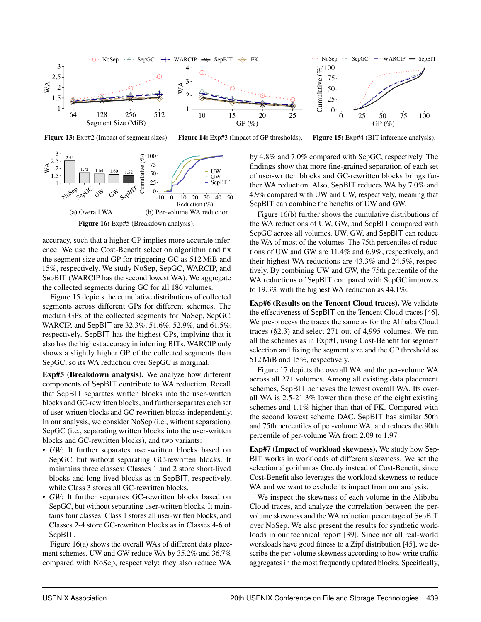<span id="page-11-0"></span>

Figure 13: Exp#2 (Impact of segment sizes).

Figure 14: Exp#3 (Impact of GP thresholds).

Figure 15: Exp#4 (BIT inference analysis).

<span id="page-11-1"></span>

accuracy, such that a higher GP implies more accurate inference. We use the Cost-Benefit selection algorithm and fix the segment size and GP for triggering GC as 512 MiB and 15%, respectively. We study NoSep, SepGC, WARCIP, and SepBIT (WARCIP has the second lowest WA). We aggregate the collected segments during GC for all 186 volumes.

Figure [15](#page-11-0) depicts the cumulative distributions of collected segments across different GPs for different schemes. The median GPs of the collected segments for NoSep, SepGC, WARCIP, and SepBIT are 32.3%, 51.6%, 52.9%, and 61.5%, respectively. SepBIT has the highest GPs, implying that it also has the highest accuracy in inferring BITs. WARCIP only shows a slightly higher GP of the collected segments than SepGC, so its WA reduction over SepGC is marginal.

Exp#5 (Breakdown analysis). We analyze how different components of SepBIT contribute to WA reduction. Recall that SepBIT separates written blocks into the user-written blocks and GC-rewritten blocks, and further separates each set of user-written blocks and GC-rewritten blocks independently. In our analysis, we consider NoSep (i.e., without separation), SepGC (i.e., separating written blocks into the user-written blocks and GC-rewritten blocks), and two variants:

- *UW*: It further separates user-written blocks based on SepGC, but without separating GC-rewritten blocks. It maintains three classes: Classes 1 and 2 store short-lived blocks and long-lived blocks as in SepBIT, respectively, while Class 3 stores all GC-rewritten blocks.
- *GW*: It further separates GC-rewritten blocks based on SepGC, but without separating user-written blocks. It maintains four classes: Class 1 stores all user-written blocks, and Classes 2-4 store GC-rewritten blocks as in Classes 4-6 of SepBIT.

Figure [16\(](#page-11-1)a) shows the overall WAs of different data placement schemes. UW and GW reduce WA by 35.2% and 36.7% compared with NoSep, respectively; they also reduce WA

by 4.8% and 7.0% compared with SepGC, respectively. The findings show that more fine-grained separation of each set of user-written blocks and GC-rewritten blocks brings further WA reduction. Also, SepBIT reduces WA by 7.0% and 4.9% compared with UW and GW, respectively, meaning that SepBIT can combine the benefits of UW and GW.

Figure [16\(](#page-11-1)b) further shows the cumulative distributions of the WA reductions of UW, GW, and SepBIT compared with SepGC across all volumes. UW, GW, and SepBIT can reduce the WA of most of the volumes. The 75th percentiles of reductions of UW and GW are 11.4% and 6.9%, respectively, and their highest WA reductions are 43.3% and 24.5%, respectively. By combining UW and GW, the 75th percentile of the WA reductions of SepBIT compared with SepGC improves to 19.3% with the highest WA reduction as 44.1%.

Exp#6 (Results on the Tencent Cloud traces). We validate the effectiveness of SepBIT on the Tencent Cloud traces [\[46\]](#page-15-6). We pre-process the traces the same as for the Alibaba Cloud traces ([§2.3\)](#page-3-1) and select 271 out of 4,995 volumes. We run all the schemes as in Exp#1, using Cost-Benefit for segment selection and fixing the segment size and the GP threshold as 512 MiB and 15%, respectively.

Figure [17](#page-12-0) depicts the overall WA and the per-volume WA across all 271 volumes. Among all existing data placement schemes, SepBIT achieves the lowest overall WA. Its overall WA is 2.5-21.3% lower than those of the eight existing schemes and 1.1% higher than that of FK. Compared with the second lowest scheme DAC, SepBIT has similar 50th and 75th percentiles of per-volume WA, and reduces the 90th percentile of per-volume WA from 2.09 to 1.97.

Exp#7 (Impact of workload skewness). We study how Sep-BIT works in workloads of different skewness. We set the selection algorithm as Greedy instead of Cost-Benefit, since Cost-Benefit also leverages the workload skewness to reduce WA and we want to exclude its impact from our analysis.

We inspect the skewness of each volume in the Alibaba Cloud traces, and analyze the correlation between the pervolume skewness and the WA reduction percentage of SepBIT over NoSep. We also present the results for synthetic workloads in our technical report [\[39\]](#page-15-7). Since not all real-world workloads have good fitness to a Zipf distribution [\[45\]](#page-15-9), we describe the per-volume skewness according to how write traffic aggregates in the most frequently updated blocks. Specifically,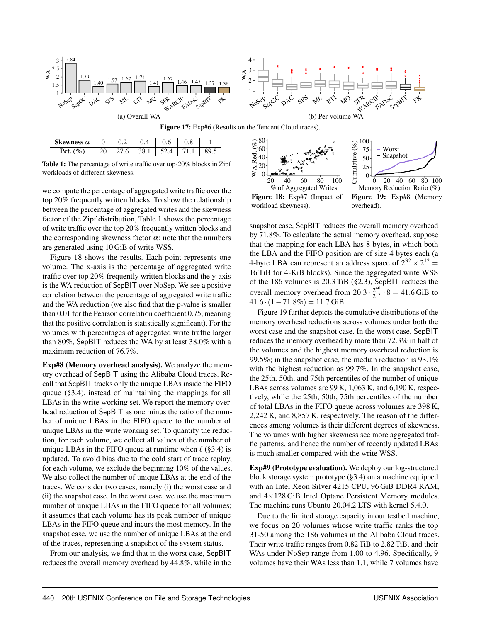<span id="page-12-0"></span>

<span id="page-12-1"></span>

| Skewness $\alpha$ |  |     | v.v | v.o |     |
|-------------------|--|-----|-----|-----|-----|
| D^t               |  | υ.ι |     |     | ن ر |

Table 1: The percentage of write traffic over top-20% blocks in Zipf workloads of different skewness.

we compute the percentage of aggregated write traffic over the top 20% frequently written blocks. To show the relationship between the percentage of aggregated writes and the skewness factor of the Zipf distribution, Table [1](#page-12-1) shows the percentage of write traffic over the top 20% frequently written blocks and the corresponding skewness factor  $\alpha$ ; note that the numbers are generated using 10 GiB of write WSS.

Figure [18](#page-12-2) shows the results. Each point represents one volume. The x-axis is the percentage of aggregated write traffic over top 20% frequently written blocks and the y-axis is the WA reduction of SepBIT over NoSep. We see a positive correlation between the percentage of aggregated write traffic and the WA reduction (we also find that the p-value is smaller than 0.01 for the Pearson correlation coefficient 0.75, meaning that the positive correlation is statistically significant). For the volumes with percentages of aggregated write traffic larger than 80%, SepBIT reduces the WA by at least 38.0% with a maximum reduction of 76.7%.

Exp#8 (Memory overhead analysis). We analyze the memory overhead of SepBIT using the Alibaba Cloud traces. Recall that SepBIT tracks only the unique LBAs inside the FIFO queue ([§3.4\)](#page-7-0), instead of maintaining the mappings for all LBAs in the write working set. We report the memory overhead reduction of SepBIT as one minus the ratio of the number of unique LBAs in the FIFO queue to the number of unique LBAs in the write working set. To quantify the reduction, for each volume, we collect all values of the number of unique LBAs in the FIFO queue at runtime when  $\ell$  ([§3.4\)](#page-7-0) is updated. To avoid bias due to the cold start of trace replay, for each volume, we exclude the beginning 10% of the values. We also collect the number of unique LBAs at the end of the traces. We consider two cases, namely (i) the worst case and (ii) the snapshot case. In the worst case, we use the maximum number of unique LBAs in the FIFO queue for all volumes; it assumes that each volume has its peak number of unique LBAs in the FIFO queue and incurs the most memory. In the snapshot case, we use the number of unique LBAs at the end of the traces, representing a snapshot of the system status.

From our analysis, we find that in the worst case, SepBIT reduces the overall memory overhead by 44.8%, while in the

<span id="page-12-2"></span>

snapshot case, SepBIT reduces the overall memory overhead by 71.8%. To calculate the actual memory overhead, suppose that the mapping for each LBA has 8 bytes, in which both the LBA and the FIFO position are of size 4 bytes each (a 4-byte LBA can represent an address space of  $2^{32} \times 2^{12} =$ 16 TiB for 4-KiB blocks). Since the aggregated write WSS of the 186 volumes is 20.3 TiB ([§2.3\)](#page-3-1), SepBIT reduces the overall memory overhead from  $20.3 \cdot \frac{2^{40}}{2^{12}}$  $\frac{2^{10}}{2^{12}} \cdot 8 = 41.6$  GiB to  $41.6 \cdot (1 - 71.8\%) = 11.7$  GiB.

Figure [19](#page-12-2) further depicts the cumulative distributions of the memory overhead reductions across volumes under both the worst case and the snapshot case. In the worst case, SepBIT reduces the memory overhead by more than 72.3% in half of the volumes and the highest memory overhead reduction is 99.5%; in the snapshot case, the median reduction is 93.1% with the highest reduction as 99.7%. In the snapshot case, the 25th, 50th, and 75th percentiles of the number of unique LBAs across volumes are 99 K, 1,063 K, and 6,190 K, respectively, while the 25th, 50th, 75th percentiles of the number of total LBAs in the FIFO queue across volumes are 398 K, 2,242 K, and 8,857 K, respectively. The reason of the differences among volumes is their different degrees of skewness. The volumes with higher skewness see more aggregated traffic patterns, and hence the number of recently updated LBAs is much smaller compared with the write WSS.

Exp#9 (Prototype evaluation). We deploy our log-structured block storage system prototype ([§3.4\)](#page-7-0) on a machine equipped with an Intel Xeon Silver 4215 CPU, 96 GiB DDR4 RAM, and 4×128 GiB Intel Optane Persistent Memory modules. The machine runs Ubuntu 20.04.2 LTS with kernel 5.4.0.

Due to the limited storage capacity in our testbed machine, we focus on 20 volumes whose write traffic ranks the top 31-50 among the 186 volumes in the Alibaba Cloud traces. Their write traffic ranges from 0.82 TiB to 2.82 TiB, and their WAs under NoSep range from 1.00 to 4.96. Specifically, 9 volumes have their WAs less than 1.1, while 7 volumes have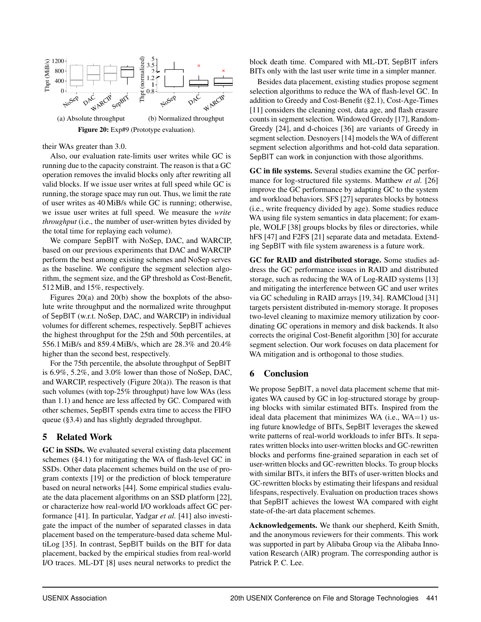<span id="page-13-1"></span>

their WAs greater than 3.0.

Also, our evaluation rate-limits user writes while GC is running due to the capacity constraint. The reason is that a GC operation removes the invalid blocks only after rewriting all valid blocks. If we issue user writes at full speed while GC is running, the storage space may run out. Thus, we limit the rate of user writes as 40 MiB/s while GC is running; otherwise, we issue user writes at full speed. We measure the *write throughput* (i.e., the number of user-written bytes divided by the total time for replaying each volume).

We compare SepBIT with NoSep, DAC, and WARCIP, based on our previous experiments that DAC and WARCIP perform the best among existing schemes and NoSep serves as the baseline. We configure the segment selection algorithm, the segment size, and the GP threshold as Cost-Benefit, 512 MiB, and 15%, respectively.

Figures [20\(](#page-13-1)a) and [20\(](#page-13-1)b) show the boxplots of the absolute write throughput and the normalized write throughput of SepBIT (w.r.t. NoSep, DAC, and WARCIP) in individual volumes for different schemes, respectively. SepBIT achieves the highest throughput for the 25th and 50th percentiles, at 556.1 MiB/s and 859.4 MiB/s, which are 28.3% and 20.4% higher than the second best, respectively.

For the 75th percentile, the absolute throughput of SepBIT is 6.9%, 5.2%, and 3.0% lower than those of NoSep, DAC, and WARCIP, respectively (Figure [20\(](#page-13-1)a)). The reason is that such volumes (with top-25% throughput) have low WAs (less than 1.1) and hence are less affected by GC. Compared with other schemes, SepBIT spends extra time to access the FIFO queue ([§3.4\)](#page-7-0) and has slightly degraded throughput.

# <span id="page-13-0"></span>5 Related Work

GC in SSDs. We evaluated several existing data placement schemes ([§4.1\)](#page-9-0) for mitigating the WA of flash-level GC in SSDs. Other data placement schemes build on the use of program contexts [\[19\]](#page-14-22) or the prediction of block temperature based on neural networks [\[44\]](#page-15-10). Some empirical studies evaluate the data placement algorithms on an SSD platform [\[22\]](#page-14-23), or characterize how real-world I/O workloads affect GC performance [\[41\]](#page-15-11). In particular, Yadgar *et al.* [\[41\]](#page-15-11) also investigate the impact of the number of separated classes in data placement based on the temperature-based data scheme MultiLog [\[35\]](#page-15-3). In contrast, SepBIT builds on the BIT for data placement, backed by the empirical studies from real-world I/O traces. ML-DT [\[8\]](#page-14-24) uses neural networks to predict the

block death time. Compared with ML-DT, SepBIT infers BITs only with the last user write time in a simpler manner.

Besides data placement, existing studies propose segment selection algorithms to reduce the WA of flash-level GC. In addition to Greedy and Cost-Benefit ([§2.1\)](#page-2-0), Cost-Age-Times [\[11\]](#page-14-25) considers the cleaning cost, data age, and flash erasure counts in segment selection. Windowed Greedy [\[17\]](#page-14-26), Random-Greedy [\[24\]](#page-14-27), and d-choices [\[36\]](#page-15-12) are variants of Greedy in segment selection. Desnoyers [\[14\]](#page-14-28) models the WA of different segment selection algorithms and hot-cold data separation. SepBIT can work in conjunction with those algorithms.

GC in file systems. Several studies examine the GC performance for log-structured file systems. Matthew *et al.* [\[26\]](#page-14-29) improve the GC performance by adapting GC to the system and workload behaviors. SFS [\[27\]](#page-14-5) separates blocks by hotness (i.e., write frequency divided by age). Some studies reduce WA using file system semantics in data placement; for example, WOLF [\[38\]](#page-15-13) groups blocks by files or directories, while hFS [\[47\]](#page-15-14) and F2FS [\[21\]](#page-14-4) separate data and metadata. Extending SepBIT with file system awareness is a future work.

GC for RAID and distributed storage. Some studies address the GC performance issues in RAID and distributed storage, such as reducing the WA of Log-RAID systems [\[13\]](#page-14-30) and mitigating the interference between GC and user writes via GC scheduling in RAID arrays [\[19,](#page-14-22) [34\]](#page-15-15). RAMCloud [\[31\]](#page-14-10) targets persistent distributed in-memory storage. It proposes two-level cleaning to maximize memory utilization by coordinating GC operations in memory and disk backends. It also corrects the original Cost-Benefit algorithm [\[30\]](#page-14-0) for accurate segment selection. Our work focuses on data placement for WA mitigation and is orthogonal to those studies.

# 6 Conclusion

We propose SepBIT, a novel data placement scheme that mitigates WA caused by GC in log-structured storage by grouping blocks with similar estimated BITs. Inspired from the ideal data placement that minimizes WA (i.e.,  $WA=1$ ) using future knowledge of BITs, SepBIT leverages the skewed write patterns of real-world workloads to infer BITs. It separates written blocks into user-written blocks and GC-rewritten blocks and performs fine-grained separation in each set of user-written blocks and GC-rewritten blocks. To group blocks with similar BITs, it infers the BITs of user-written blocks and GC-rewritten blocks by estimating their lifespans and residual lifespans, respectively. Evaluation on production traces shows that SepBIT achieves the lowest WA compared with eight state-of-the-art data placement schemes.

Acknowledgements. We thank our shepherd, Keith Smith, and the anonymous reviewers for their comments. This work was supported in part by Alibaba Group via the Alibaba Innovation Research (AIR) program. The corresponding author is Patrick P. C. Lee.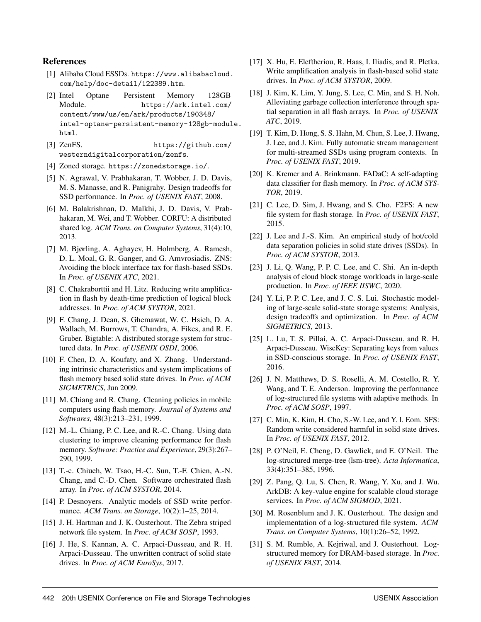# References

- <span id="page-14-19"></span>[1] Alibaba Cloud ESSDs. [https://www.alibabacloud.](https://www.alibabacloud.com/help/doc-detail/122389.htm) [com/help/doc-detail/122389.htm](https://www.alibabacloud.com/help/doc-detail/122389.htm).
- <span id="page-14-21"></span>[2] Intel Optane Persistent Memory 128GB Module. [https://ark.intel.com/](https://ark.intel.com/content/www/us/en/ark/products/190348/intel-optane-persistent-memory-128gb-module.html) [content/www/us/en/ark/products/190348/](https://ark.intel.com/content/www/us/en/ark/products/190348/intel-optane-persistent-memory-128gb-module.html) [intel-optane-persistent-memory-128gb-modul](https://ark.intel.com/content/www/us/en/ark/products/190348/intel-optane-persistent-memory-128gb-module.html)e. [html](https://ark.intel.com/content/www/us/en/ark/products/190348/intel-optane-persistent-memory-128gb-module.html).
- <span id="page-14-18"></span>[3] ZenFS. [https://github.com/](https://github.com/westerndigitalcorporation/zenfs) [westerndigitalcorporation/zenfs](https://github.com/westerndigitalcorporation/zenfs).
- <span id="page-14-12"></span>[4] Zoned storage. <https://zonedstorage.io/>.
- <span id="page-14-1"></span>[5] N. Agrawal, V. Prabhakaran, T. Wobber, J. D. Davis, M. S. Manasse, and R. Panigrahy. Design tradeoffs for SSD performance. In *Proc. of USENIX FAST*, 2008.
- <span id="page-14-9"></span>[6] M. Balakrishnan, D. Malkhi, J. D. Davis, V. Prabhakaran, M. Wei, and T. Wobber. CORFU: A distributed shared log. *ACM Trans. on Computer Systems*, 31(4):10, 2013.
- <span id="page-14-13"></span>[7] M. Bjørling, A. Aghayev, H. Holmberg, A. Ramesh, D. L. Moal, G. R. Ganger, and G. Amvrosiadis. ZNS: Avoiding the block interface tax for flash-based SSDs. In *Proc. of USENIX ATC*, 2021.
- <span id="page-14-24"></span>[8] C. Chakraborttii and H. Litz. Reducing write amplification in flash by death-time prediction of logical block addresses. In *Proc. of ACM SYSTOR*, 2021.
- <span id="page-14-8"></span>[9] F. Chang, J. Dean, S. Ghemawat, W. C. Hsieh, D. A. Wallach, M. Burrows, T. Chandra, A. Fikes, and R. E. Gruber. Bigtable: A distributed storage system for structured data. In *Proc. of USENIX OSDI*, 2006.
- <span id="page-14-2"></span>[10] F. Chen, D. A. Koufaty, and X. Zhang. Understanding intrinsic characteristics and system implications of flash memory based solid state drives. In *Proc. of ACM SIGMETRICS*, Jun 2009.
- <span id="page-14-25"></span>[11] M. Chiang and R. Chang. Cleaning policies in mobile computers using flash memory. *Journal of Systems and Softwares*, 48(3):213–231, 1999.
- <span id="page-14-15"></span>[12] M.-L. Chiang, P. C. Lee, and R.-C. Chang. Using data clustering to improve cleaning performance for flash memory. *Software: Practice and Experience*, 29(3):267– 290, 1999.
- <span id="page-14-30"></span>[13] T.-c. Chiueh, W. Tsao, H.-C. Sun, T.-F. Chien, A.-N. Chang, and C.-D. Chen. Software orchestrated flash array. In *Proc. of ACM SYSTOR*, 2014.
- <span id="page-14-28"></span>[14] P. Desnoyers. Analytic models of SSD write performance. *ACM Trans. on Storage*, 10(2):1–25, 2014.
- <span id="page-14-3"></span>[15] J. H. Hartman and J. K. Ousterhout. The Zebra striped network file system. In *Proc. of ACM SOSP*, 1993.
- <span id="page-14-14"></span>[16] J. He, S. Kannan, A. C. Arpaci-Dusseau, and R. H. Arpaci-Dusseau. The unwritten contract of solid state drives. In *Proc. of ACM EuroSys*, 2017.
- <span id="page-14-26"></span>[17] X. Hu, E. Eleftheriou, R. Haas, I. Iliadis, and R. Pletka. Write amplification analysis in flash-based solid state drives. In *Proc. of ACM SYSTOR*, 2009.
- <span id="page-14-11"></span>[18] J. Kim, K. Lim, Y. Jung, S. Lee, C. Min, and S. H. Noh. Alleviating garbage collection interference through spatial separation in all flash arrays. In *Proc. of USENIX ATC*, 2019.
- <span id="page-14-22"></span>[19] T. Kim, D. Hong, S. S. Hahn, M. Chun, S. Lee, J. Hwang, J. Lee, and J. Kim. Fully automatic stream management for multi-streamed SSDs using program contexts. In *Proc. of USENIX FAST*, 2019.
- <span id="page-14-16"></span>[20] K. Kremer and A. Brinkmann. FADaC: A self-adapting data classifier for flash memory. In *Proc. of ACM SYS-TOR*, 2019.
- <span id="page-14-4"></span>[21] C. Lee, D. Sim, J. Hwang, and S. Cho. F2FS: A new file system for flash storage. In *Proc. of USENIX FAST*, 2015.
- <span id="page-14-23"></span>[22] J. Lee and J.-S. Kim. An empirical study of hot/cold data separation policies in solid state drives (SSDs). In *Proc. of ACM SYSTOR*, 2013.
- <span id="page-14-17"></span>[23] J. Li, Q. Wang, P. P. C. Lee, and C. Shi. An in-depth analysis of cloud block storage workloads in large-scale production. In *Proc. of IEEE IISWC*, 2020.
- <span id="page-14-27"></span>[24] Y. Li, P. P. C. Lee, and J. C. S. Lui. Stochastic modeling of large-scale solid-state storage systems: Analysis, design tradeoffs and optimization. In *Proc. of ACM SIGMETRICS*, 2013.
- <span id="page-14-6"></span>[25] L. Lu, T. S. Pillai, A. C. Arpaci-Dusseau, and R. H. Arpaci-Dusseau. WiscKey: Separating keys from values in SSD-conscious storage. In *Proc. of USENIX FAST*, 2016.
- <span id="page-14-29"></span>[26] J. N. Matthews, D. S. Roselli, A. M. Costello, R. Y. Wang, and T. E. Anderson. Improving the performance of log-structured file systems with adaptive methods. In *Proc. of ACM SOSP*, 1997.
- <span id="page-14-5"></span>[27] C. Min, K. Kim, H. Cho, S.-W. Lee, and Y. I. Eom. SFS: Random write considered harmful in solid state drives. In *Proc. of USENIX FAST*, 2012.
- <span id="page-14-7"></span>[28] P. O'Neil, E. Cheng, D. Gawlick, and E. O'Neil. The log-structured merge-tree (lsm-tree). *Acta Informatica*, 33(4):351–385, 1996.
- <span id="page-14-20"></span>[29] Z. Pang, Q. Lu, S. Chen, R. Wang, Y. Xu, and J. Wu. ArkDB: A key-value engine for scalable cloud storage services. In *Proc. of ACM SIGMOD*, 2021.
- <span id="page-14-0"></span>[30] M. Rosenblum and J. K. Ousterhout. The design and implementation of a log-structured file system. *ACM Trans. on Computer Systems*, 10(1):26–52, 1992.
- <span id="page-14-10"></span>[31] S. M. Rumble, A. Kejriwal, and J. Ousterhout. Logstructured memory for DRAM-based storage. In *Proc. of USENIX FAST*, 2014.